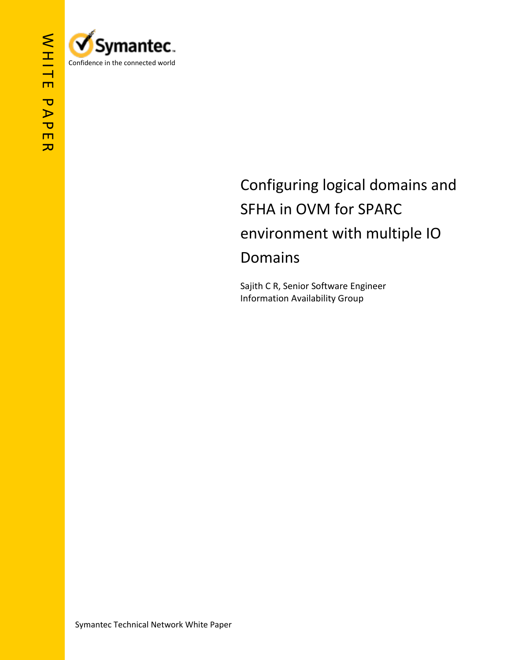



## Configuring logical domains and SFHA in OVM for SPARC environment with multiple IO Domains

Sajith C R, Senior Software Engineer Information Availability Group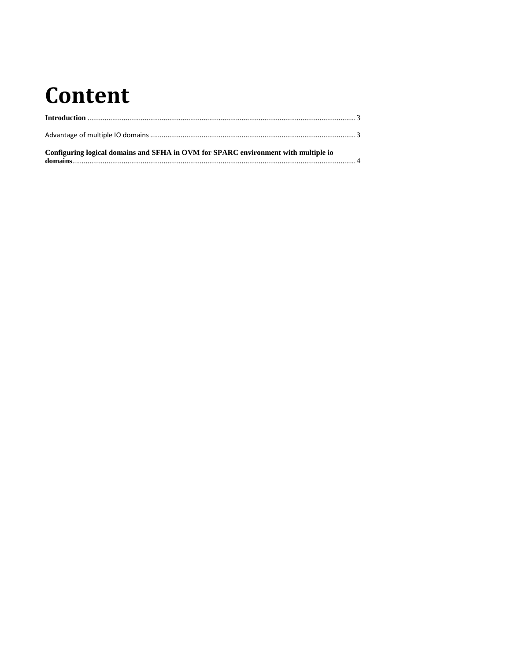# Content

| Configuring logical domains and SFHA in OVM for SPARC environment with multiple io |  |
|------------------------------------------------------------------------------------|--|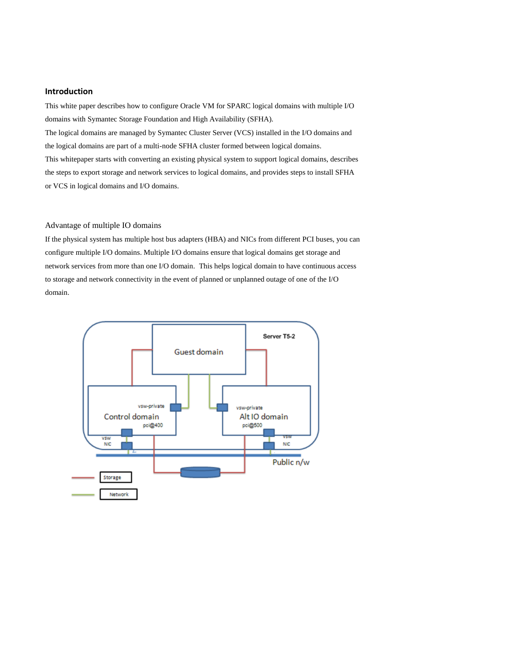#### **Introduction**

This white paper describes how to configure Oracle VM for SPARC logical domains with multiple I/O domains with Symantec Storage Foundation and High Availability (SFHA).

The logical domains are managed by Symantec Cluster Server (VCS) installed in the I/O domains and the logical domains are part of a multi-node SFHA cluster formed between logical domains. This whitepaper starts with converting an existing physical system to support logical domains, describes the steps to export storage and network services to logical domains, and provides steps to install SFHA or VCS in logical domains and I/O domains.

#### Advantage of multiple IO domains

If the physical system has multiple host bus adapters (HBA) and NICs from different PCI buses, you can configure multiple I/O domains. Multiple I/O domains ensure that logical domains get storage and network services from more than one I/O domain. This helps logical domain to have continuous access to storage and network connectivity in the event of planned or unplanned outage of one of the I/O domain.

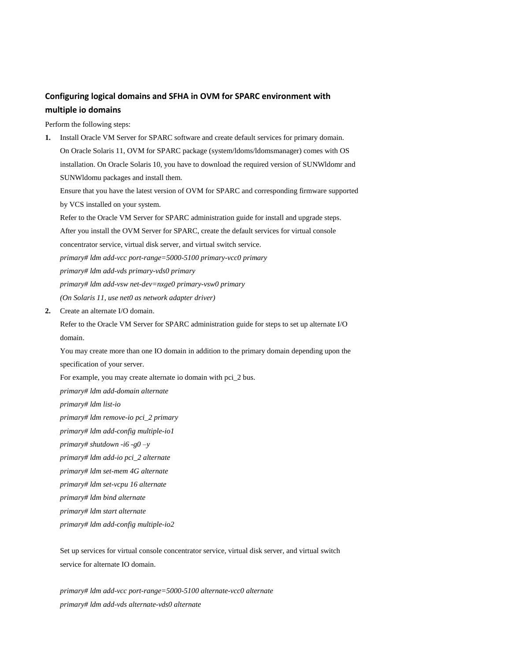### **Configuring logical domains and SFHA in OVM for SPARC environment with multiple io domains**

Perform the following steps:

**1.** Install Oracle VM Server for SPARC software and create default services for primary domain. On Oracle Solaris 11, OVM for SPARC package (system/ldoms/ldomsmanager) comes with OS installation. On Oracle Solaris 10, you have to download the required version of SUNWldomr and SUNWldomu packages and install them.

Ensure that you have the latest version of OVM for SPARC and corresponding firmware supported by VCS installed on your system.

Refer to the Oracle VM Server for SPARC administration guide for install and upgrade steps.

After you install the OVM Server for SPARC, create the default services for virtual console

concentrator service, virtual disk server, and virtual switch service.

*primary# ldm add-vcc port-range=5000-5100 primary-vcc0 primary*

*primary# ldm add-vds primary-vds0 primary*

*primary# ldm add-vsw net-dev=nxge0 primary-vsw0 primary*

*(On Solaris 11, use net0 as network adapter driver)*

**2.** Create an alternate I/O domain.

Refer to the Oracle VM Server for SPARC administration guide for steps to set up alternate I/O domain.

You may create more than one IO domain in addition to the primary domain depending upon the specification of your server.

For example, you may create alternate io domain with pci\_2 bus.

*primary# ldm add-domain alternate*

*primary# ldm list-io*

*primary# ldm remove-io pci\_2 primary*

*primary# ldm add-config multiple-io1*

*primary# shutdown -i6 -g0 –y*

*primary# ldm add-io pci\_2 alternate*

*primary# ldm set-mem 4G alternate*

*primary# ldm set-vcpu 16 alternate*

*primary# ldm bind alternate*

*primary# ldm start alternate*

*primary# ldm add-config multiple-io2*

Set up services for virtual console concentrator service, virtual disk server, and virtual switch service for alternate IO domain.

*primary# ldm add-vcc port-range=5000-5100 alternate-vcc0 alternate primary# ldm add-vds alternate-vds0 alternate*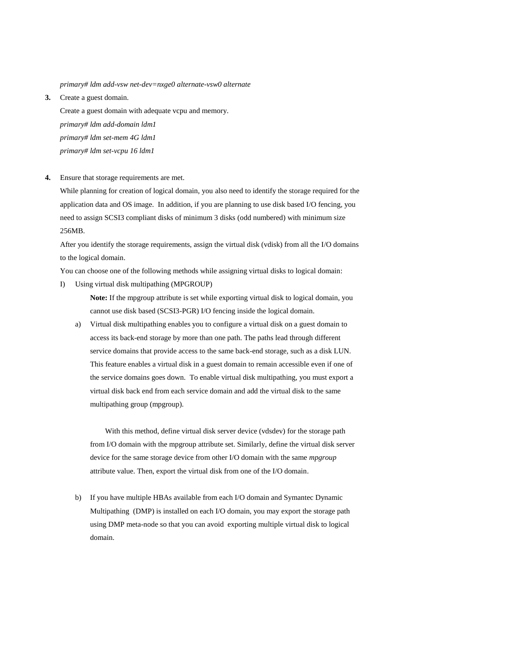*primary# ldm add-vsw net-dev=nxge0 alternate-vsw0 alternate*

**3.** Create a guest domain.

Create a guest domain with adequate vcpu and memory. *primary# ldm add-domain ldm1 primary# ldm set-mem 4G ldm1 primary# ldm set-vcpu 16 ldm1*

**4.** Ensure that storage requirements are met.

While planning for creation of logical domain, you also need to identify the storage required for the application data and OS image. In addition, if you are planning to use disk based I/O fencing, you need to assign SCSI3 compliant disks of minimum 3 disks (odd numbered) with minimum size 256MB.

After you identify the storage requirements, assign the virtual disk (vdisk) from all the I/O domains to the logical domain.

You can choose one of the following methods while assigning virtual disks to logical domain:

I) Using virtual disk multipathing (MPGROUP)

**Note:** If the mpgroup attribute is set while exporting virtual disk to logical domain, you cannot use disk based (SCSI3-PGR) I/O fencing inside the logical domain.

a) Virtual disk multipathing enables you to configure a virtual disk on a guest domain to access its back-end storage by more than one path. The paths lead through different service domains that provide access to the same back-end storage, such as a disk LUN. This feature enables a virtual disk in a guest domain to remain accessible even if one of the service domains goes down. To enable virtual disk multipathing, you must export a virtual disk back end from each service domain and add the virtual disk to the same multipathing group (mpgroup).

With this method, define virtual disk server device (vdsdev) for the storage path from I/O domain with the mpgroup attribute set. Similarly, define the virtual disk server device for the same storage device from other I/O domain with the same *mpgroup* attribute value. Then, export the virtual disk from one of the I/O domain.

b) If you have multiple HBAs available from each I/O domain and Symantec Dynamic Multipathing (DMP) is installed on each I/O domain, you may export the storage path using DMP meta-node so that you can avoid exporting multiple virtual disk to logical domain.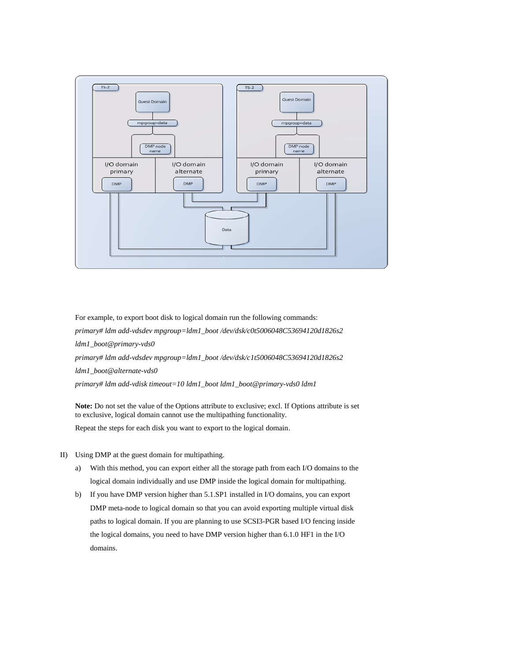

For example, to export boot disk to logical domain run the following commands: *primary# ldm add-vdsdev mpgroup=ldm1\_boot /dev/dsk/c0t5006048C53694120d1826s2 ldm1\_boot@primary-vds0 primary# ldm add-vdsdev mpgroup=ldm1\_boot /dev/dsk/c1t5006048C53694120d1826s2 ldm1\_boot@alternate-vds0 primary# ldm add-vdisk timeout=10 ldm1\_boot ldm1\_boot@primary-vds0 ldm1*

**Note:** Do not set the value of the Options attribute to exclusive; excl. If Options attribute is set to exclusive, logical domain cannot use the multipathing functionality.

Repeat the steps for each disk you want to export to the logical domain.

- II) Using DMP at the guest domain for multipathing.
	- a) With this method, you can export either all the storage path from each I/O domains to the logical domain individually and use DMP inside the logical domain for multipathing.
	- b) If you have DMP version higher than 5.1.SP1 installed in I/O domains, you can export DMP meta-node to logical domain so that you can avoid exporting multiple virtual disk paths to logical domain. If you are planning to use SCSI3-PGR based I/O fencing inside the logical domains, you need to have DMP version higher than 6.1.0 HF1 in the I/O domains.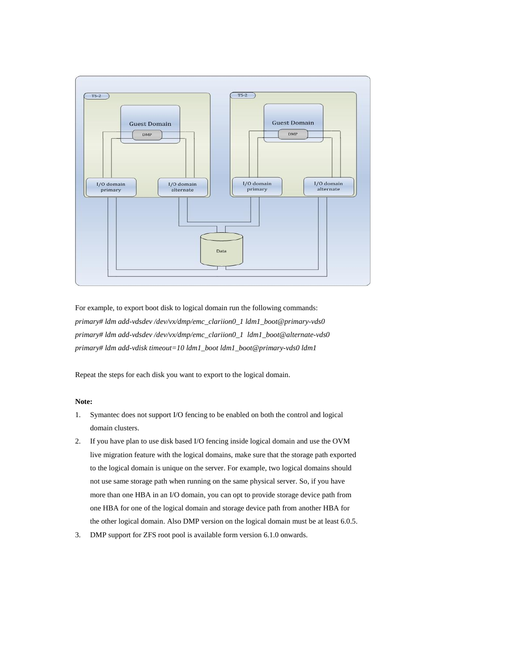

For example, to export boot disk to logical domain run the following commands: *primary# ldm add-vdsdev /dev/vx/dmp/emc\_clariion0\_1 ldm1\_boot@primary-vds0 primary# ldm add-vdsdev /dev/vx/dmp/emc\_clariion0\_1 ldm1\_boot@alternate-vds0 primary# ldm add-vdisk timeout=10 ldm1\_boot ldm1\_boot@primary-vds0 ldm1*

Repeat the steps for each disk you want to export to the logical domain.

#### **Note:**

- 1. Symantec does not support I/O fencing to be enabled on both the control and logical domain clusters.
- 2. If you have plan to use disk based I/O fencing inside logical domain and use the OVM live migration feature with the logical domains, make sure that the storage path exported to the logical domain is unique on the server. For example, two logical domains should not use same storage path when running on the same physical server. So, if you have more than one HBA in an I/O domain, you can opt to provide storage device path from one HBA for one of the logical domain and storage device path from another HBA for the other logical domain. Also DMP version on the logical domain must be at least 6.0.5.
- 3. DMP support for ZFS root pool is available form version 6.1.0 onwards.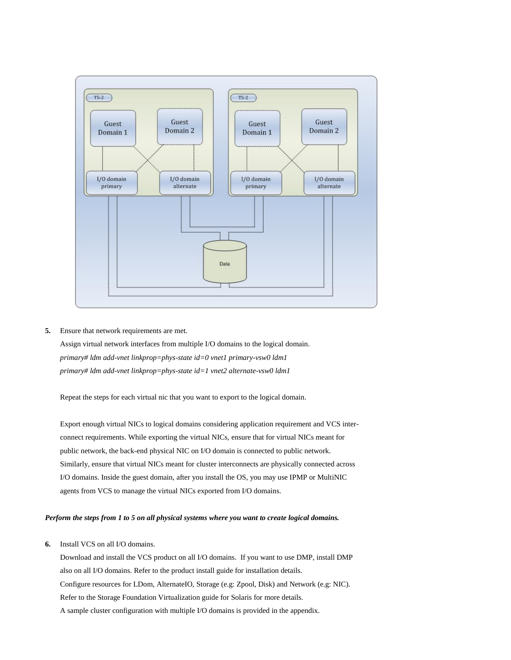

**5.** Ensure that network requirements are met.

Assign virtual network interfaces from multiple I/O domains to the logical domain. *primary# ldm add-vnet linkprop=phys-state id=0 vnet1 primary-vsw0 ldm1 primary# ldm add-vnet linkprop=phys-state id=1 vnet2 alternate-vsw0 ldm1*

Repeat the steps for each virtual nic that you want to export to the logical domain.

Export enough virtual NICs to logical domains considering application requirement and VCS interconnect requirements. While exporting the virtual NICs, ensure that for virtual NICs meant for public network, the back-end physical NIC on I/O domain is connected to public network. Similarly, ensure that virtual NICs meant for cluster interconnects are physically connected across I/O domains. Inside the guest domain, after you install the OS, you may use IPMP or MultiNIC agents from VCS to manage the virtual NICs exported from I/O domains.

#### *Perform the steps from 1 to 5 on all physical systems where you want to create logical domains.*

**6.** Install VCS on all I/O domains.

Download and install the VCS product on all I/O domains. If you want to use DMP, install DMP also on all I/O domains. Refer to the product install guide for installation details. Configure resources for LDom, AlternateIO, Storage (e.g: Zpool, Disk) and Network (e.g: NIC). Refer to the Storage Foundation Virtualization guide for Solaris for more details. A sample cluster configuration with multiple I/O domains is provided in the appendix.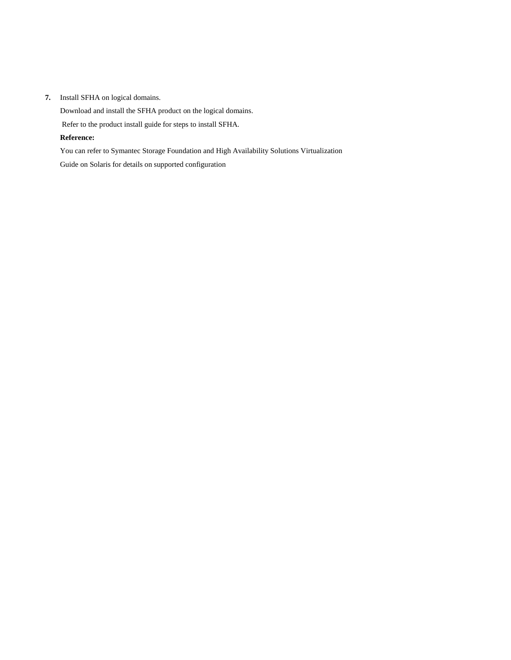#### **7.** Install SFHA on logical domains.

Download and install the SFHA product on the logical domains.

Refer to the product install guide for steps to install SFHA.

#### **Reference:**

You can refer to Symantec Storage Foundation and High Availability Solutions Virtualization

Guide on Solaris for details on supported configuration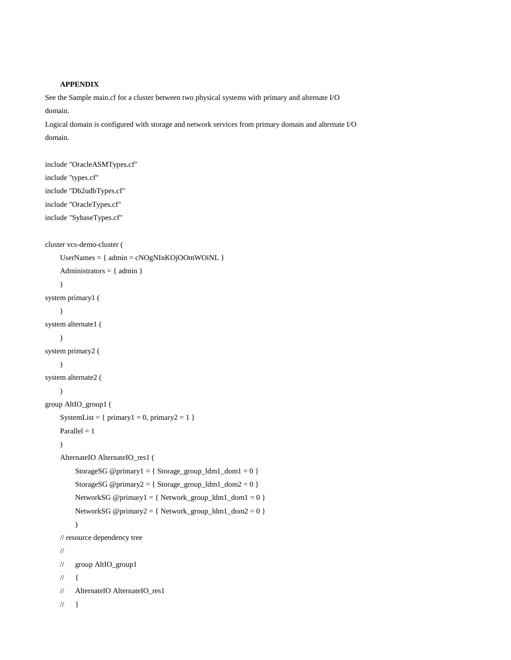#### **APPENDIX**

See the Sample main.cf for a cluster between two physical systems with primary and alternate I/O domain.

Logical domain is configured with storage and network services from primary domain and alternate I/O domain.

```
include "OracleASMTypes.cf"
include "types.cf"
include "Db2udbTypes.cf"
include "OracleTypes.cf"
include "SybaseTypes.cf"
cluster vcs-demo-cluster (
    UserNames = { admin = cNOgNInKOjOOmWOiNL }
    Administrators = \{ admin \}\lambdasystem primary1 (
    )
system alternate1 (
    \lambdasystem primary2 (
    \lambdasystem alternate2 (
    )
group AltIO_group1 (
    SystemList = { primary1 = 0, primary2 = 1 }
    Parallel = 1)
    AlternateIO AlternateIO_res1 (
         StorageSG @primary1 = { Storage_group_ldm1_dom1 = 0 }
         StorageSG @primary2 = { Storage_group_ldm1_dom2 = 0 }
         NetworkSG @primary1 = { Network_group_ldm1_dom1 = 0 }
         NetworkSG @primary2 = { Network_group_ldm1_dom2 = 0 }
         )
    // resource dependency tree
    //
    // group AltIO_group1
    \mathcal{U} {
    // AlternateIO AlternateIO_res1
    \mathcal{U} }
```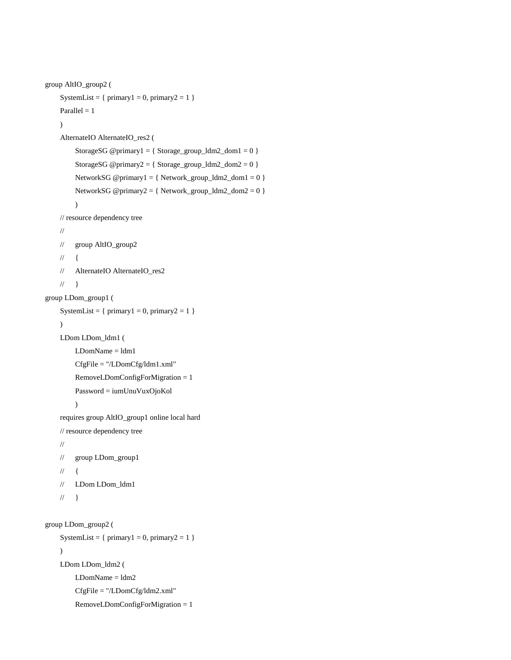```
group AltIO_group2 (
    SystemList = { primary1 = 0, primary2 = 1 }
    Parallel = 1)
    AlternateIO AlternateIO_res2 (
         StorageSG @primary1 = { Storage_group_ldm2_dom1 = 0 }
         StorageSG @primary2 = { Storage_group_ldm2_dom2 = 0 }
         NetworkSG @primary1 = { Network_group_ldm2_dom1 = 0 }
         NetworkSG @primary2 = { Network_group_ldm2_dom2 = 0 }
         \overline{)}// resource dependency tree
    //
    // group AltIO_group2
    \mathcal{U} {
    // AlternateIO AlternateIO_res2
    \mathcal{U} }
group LDom_group1 (
    SystemList = { primary1 = 0, primary2 = 1 }
    )
    LDom LDom_ldm1 (
         LDomName = ldm1
         CfgFile = "/LDomCfg/ldm1.xml"
         RemoveLDomConfigForMigration = 1
         Password = iumUnuVuxOjoKol
         )
    requires group AltIO_group1 online local hard
    // resource dependency tree
    //
    // group LDom_group1
    \mathcal{U} \in \{// LDom LDom_ldm1
    \mathcal{U} }
group LDom_group2 (
    SystemList = \{ primary1 = 0, primary2 = 1 \})
    LDom LDom_ldm2 (
         LDomName = ldm2
         CfgFile = "/LDomCfg/ldm2.xml"
         RemoveLDomConfigForMigration = 1
```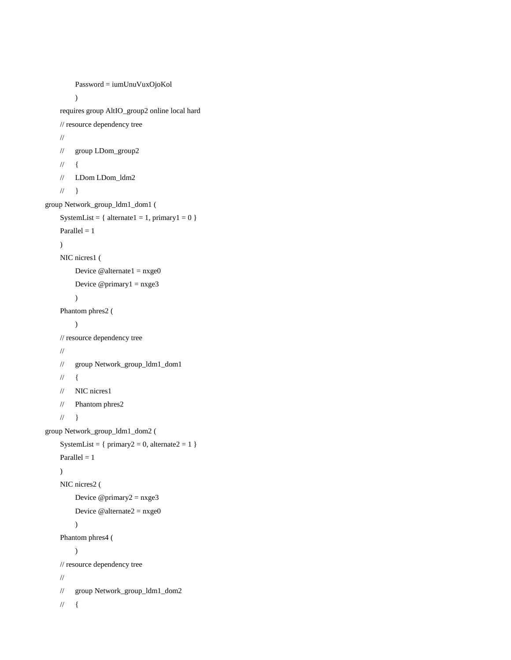```
Password = iumUnuVuxOjoKol
         \overline{)}requires group AltIO_group2 online local hard
    // resource dependency tree
    //
    // group LDom_group2
    \mathcal{U} {
    // LDom LDom_ldm2
    \mathcal{U} }
group Network_group_ldm1_dom1 (
    SystemList = { alternate1 = 1, primary1 = 0 }
    Parallel = 1)
    NIC nicres1 (
         Device @ alternate 1 = nxge0Device @primary1 = nxge3
         \overline{)}Phantom phres2 (
         )
    // resource dependency tree
    //
    // group Network_group_ldm1_dom1
    \mathcal{U} {
    // NIC nicres1
    // Phantom phres2
    \mathcal{U} }
group Network_group_ldm1_dom2 (
    SystemList = { primary2 = 0, alternate2 = 1 }
    Parallel = 1)
    NIC nicres2 (
         Device @ primary2 = n x ge3Device @alternate2 = nxge0
         \lambdaPhantom phres4 (
         )
    // resource dependency tree
    //
    // group Network_group_ldm1_dom2
    \mathcal{U} {
```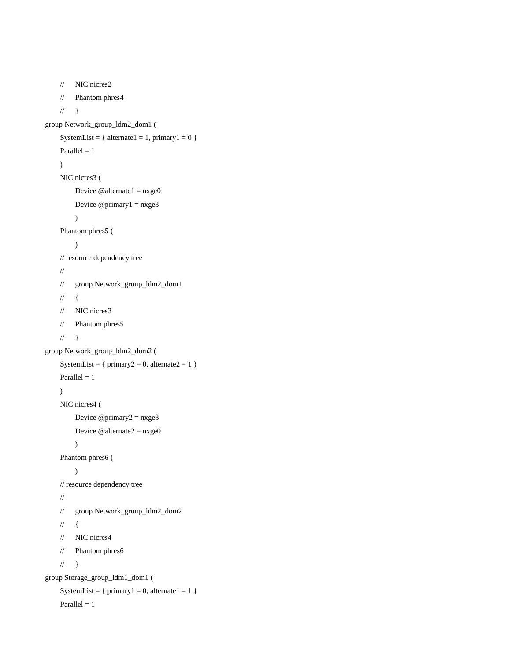```
// NIC nicres2
     // Phantom phres4
     \mathcal{U} \longrightarrowgroup Network_group_ldm2_dom1 (
     SystemList = { \text{alternate1} = 1, \text{primary1} = 0 }
     Parallel = 1\lambdaNIC nicres3 (
          Device @ alternate 1 = nxge0Device @primary1 = nxge3
          )
     Phantom phres5 (
          )
     // resource dependency tree
     //
     // group Network_group_ldm2_dom1
     \mathcal{U} {
     // NIC nicres3
     // Phantom phres5
     \mathcal{U} }
group Network_group_ldm2_dom2 (
     SystemList = { primary2 = 0, alternate2 = 1 }
     Parallel = 1\overline{)}NIC nicres4 (
          Device @ primary2 = n x ge3Device @alternate2 = nxge0
          )
     Phantom phres6 (
          )
     // resource dependency tree
     //
     // group Network_group_ldm2_dom2
     \mathcal{U} {
     // NIC nicres4
     // Phantom phres6
     \mathcal{U} }
group Storage_group_ldm1_dom1 (
     SystemList = { primary1 = 0, alternate1 = 1 }
     Parallel = 1
```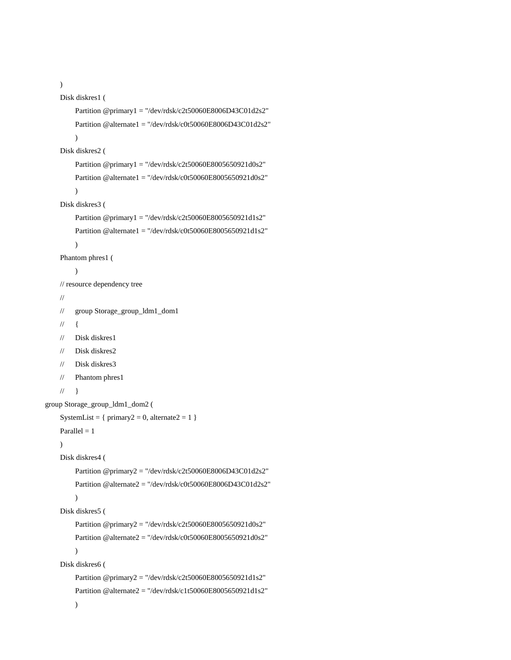```
)
```

```
Disk diskres1 (
         Partition @primary1 = "/dev/rdsk/c2t50060E8006D43C01d2s2"
         Partition @alternate1 = "/dev/rdsk/c0t50060E8006D43C01d2s2"
         \lambdaDisk diskres2 (
         Partition @primary1 = "/dev/rdsk/c2t50060E8005650921d0s2"
         Partition @alternate1 = "/dev/rdsk/c0t50060E8005650921d0s2"
         \mathcal{L}Disk diskres3 (
         Partition @primary1 = "/dev/rdsk/c2t50060E8005650921d1s2"
         Partition @alternate1 = "/dev/rdsk/c0t50060E8005650921d1s2"
         )
     Phantom phres1 (
         )
    // resource dependency tree
     //
     // group Storage_group_ldm1_dom1
     \frac{1}{2}// Disk diskres1
     // Disk diskres2
     // Disk diskres3
     // Phantom phres1
    \mathcal{U} \longrightarrowgroup Storage_group_ldm1_dom2 (
     SystemList = { primary2 = 0, alternate2 = 1 }
     Parallel = 1)
     Disk diskres4 (
         Partition @primary2 = "/dev/rdsk/c2t50060E8006D43C01d2s2"
         Partition @alternate2 = "/dev/rdsk/c0t50060E8006D43C01d2s2"
         \lambdaDisk diskres5 (
         Partition @primary2 = "/dev/rdsk/c2t50060E8005650921d0s2"
         Partition @alternate2 = "/dev/rdsk/c0t50060E8005650921d0s2"
         \mathcal{L}Disk diskres6 (
         Partition @primary2 = "/dev/rdsk/c2t50060E8005650921d1s2"
         Partition @alternate2 = "/dev/rdsk/c1t50060E8005650921d1s2"
         )
```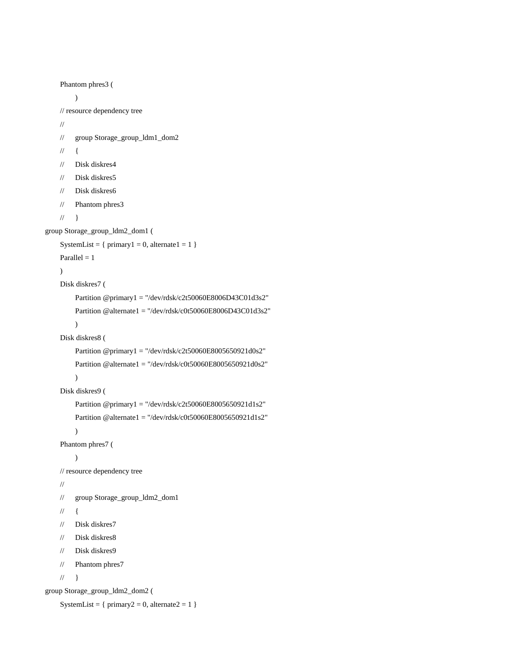```
Phantom phres3 (
         )
    // resource dependency tree
    //
    // group Storage_group_ldm1_dom2
    \frac{1}{2}// Disk diskres4
    // Disk diskres5
    // Disk diskres6
    // Phantom phres3
    \mathcal{U} }
group Storage_group_ldm2_dom1 (
    SystemList = { primary1 = 0, alternate1 = 1 }
    Parallel = 1)
    Disk diskres7 (
         Partition @primary1 = "/dev/rdsk/c2t50060E8006D43C01d3s2"
         Partition @alternate1 = "/dev/rdsk/c0t50060E8006D43C01d3s2"
         \lambdaDisk diskres8 (
         Partition @primary1 = "/dev/rdsk/c2t50060E8005650921d0s2"
         Partition @alternate1 = "/dev/rdsk/c0t50060E8005650921d0s2"
         \overline{)}Disk diskres9 (
         Partition @primary1 = "/dev/rdsk/c2t50060E8005650921d1s2"
         Partition @alternate1 = "/dev/rdsk/c0t50060E8005650921d1s2"
         )
    Phantom phres7 (
         \overline{)}// resource dependency tree
    //
    // group Storage_group_ldm2_dom1
    \mathcal{U} \in \{// Disk diskres7
    // Disk diskres8
    // Disk diskres9
    // Phantom phres7
    \mathcal{U} }
group Storage_group_ldm2_dom2 (
    SystemList = { primary2 = 0, alternate2 = 1 }
```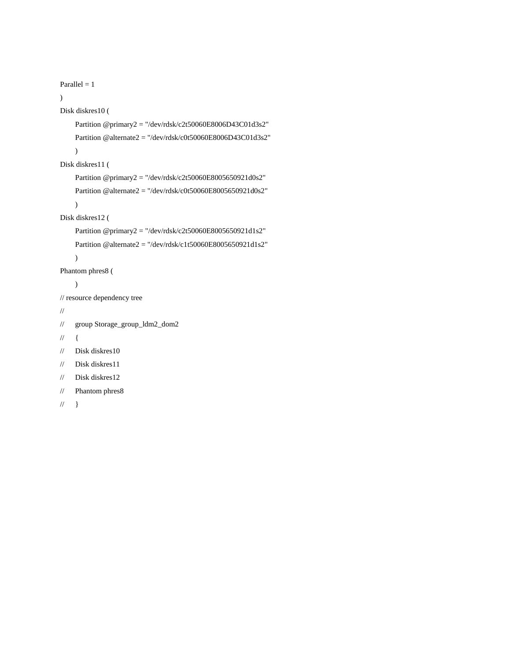```
Parallel = 1\overline{)}Disk diskres10 (
     Partition @primary2 = "/dev/rdsk/c2t50060E8006D43C01d3s2"
     Partition @alternate2 = "/dev/rdsk/c0t50060E8006D43C01d3s2"
     \overline{)}Disk diskres11 (
     Partition @primary2 = "/dev/rdsk/c2t50060E8005650921d0s2"
     Partition @alternate2 = "/dev/rdsk/c0t50060E8005650921d0s2"
     \overline{)}Disk diskres12 (
     Partition @primary2 = "/dev/rdsk/c2t50060E8005650921d1s2"
     Partition @alternate2 = "/dev/rdsk/c1t50060E8005650921d1s2"
     \overline{)}Phantom phres8 (
     \overline{)}// resource dependency tree
//
// group Storage_group_ldm2_dom2
\mathcal{U} {
// Disk diskres10
// Disk diskres11
// Disk diskres12
// Phantom phres8
```

```
\mathcal{U} }
```